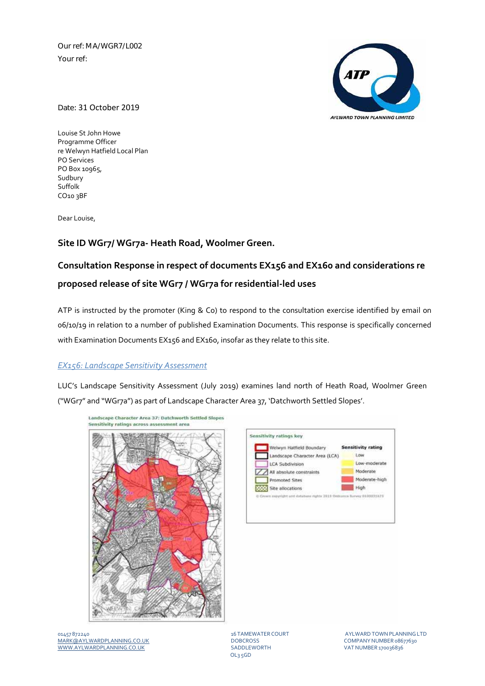Our ref: MA/WGR7/L002 Your ref:



Date: 31 October 2019

Louise St John Howe Programme Officer re Welwyn Hatfield Local Plan PO Services PO Box 10965, Sudbury Suffolk CO10 3BF

Dear Louise,

# **Site ID WGr7/ WGr7a‐ Heath Road, Woolmer Green.**

# **Consultation Response in respect of documents EX156 and EX160 and considerations re proposed release of site WGr7 / WGr7a for residential‐led uses**

ATP is instructed by the promoter (King & Co) to respond to the consultation exercise identified by email on 06/10/19 in relation to a number of published Examination Documents. This response is specifically concerned with Examination Documents EX156 and EX160, insofar as they relate to this site.

## *EX156: Landscape Sensitivity Assessment*

LUC's Landscape Sensitivity Assessment (July 2019) examines land north of Heath Road, Woolmer Green ("WGr7" and "WGr7a") as part of Landscape Character Area 37, 'Datchworth Settled Slopes'.





01457 872240 16 TAMEWATER COURT AYLWARDTOWNPLANNINGLTD MARK@AYLWARDPLANNING.CO.UK DOBCROSS COMPANYNUMBER 08677630 WWW.AYLWARDPLANNING.CO.UK SADDLEWORTH SADDLEWORTH VAT NUMBER 170036836

OL3 5GD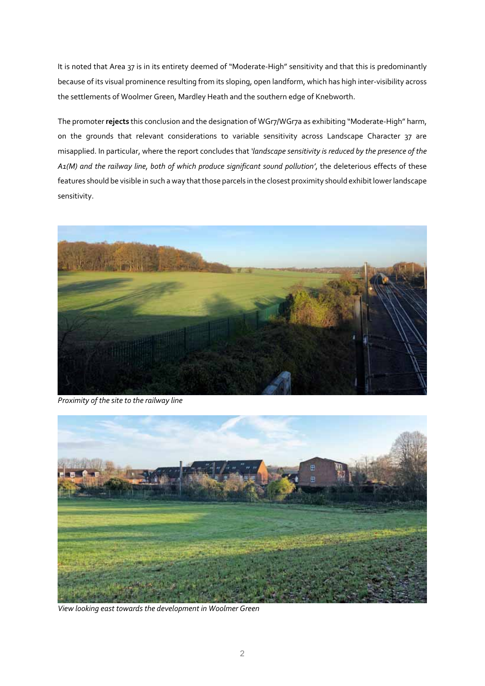It is noted that Area 37 is in its entirety deemed of "Moderate-High" sensitivity and that this is predominantly because of its visual prominence resulting from its sloping, open landform, which has high inter‐visibility across the settlements of Woolmer Green, Mardley Heath and the southern edge of Knebworth.

The promoter **rejects** this conclusion and the designation of WGr7/WGr7a as exhibiting "Moderate‐High" harm, on the grounds that relevant considerations to variable sensitivity across Landscape Character 37 are misapplied. In particular, where the report concludes that *'landscape sensitivity is reduced by the presence of the A1(M) and the railway line, both of which produce significant sound pollution'*, the deleterious effects of these features should be visible in such a way that those parcels in the closest proximity should exhibit lower landscape sensitivity.



*Proximity of the site to the railway line*



 *View looking east towards the development in Woolmer Green*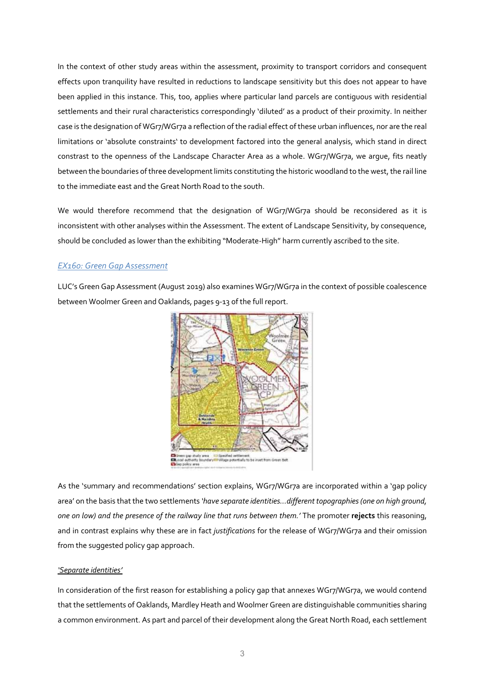In the context of other study areas within the assessment, proximity to transport corridors and consequent effects upon tranquility have resulted in reductions to landscape sensitivity but this does not appear to have been applied in this instance. This, too, applies where particular land parcels are contiguous with residential settlements and their rural characteristics correspondingly 'diluted' as a product of their proximity. In neither case is the designation of WGr7/WGr7a a reflection ofthe radial effect ofthese urban influences, nor are the real limitations or 'absolute constraints' to development factored into the general analysis, which stand in direct constrast to the openness of the Landscape Character Area as a whole. WGr7/WGr7a, we argue, fits neatly between the boundaries of three development limits constituting the historic woodland to the west, the rail line to the immediate east and the Great North Road to the south.

We would therefore recommend that the designation of WGr7/WGr7a should be reconsidered as it is inconsistent with other analyses within the Assessment. The extent of Landscape Sensitivity, by consequence, should be concluded as lower than the exhibiting "Moderate-High" harm currently ascribed to the site.

# *EX160: Green Gap Assessment*

LUC's Green Gap Assessment (August 2019) also examines WGr7/WGr7a in the context of possible coalescence between Woolmer Green and Oaklands, pages 9‐13 of the full report.



As the 'summary and recommendations' section explains, WGr7/WGr7a are incorporated within a 'gap policy area' on the basis that the two settlements *'have separate identities…different topographies(one on high ground, one on low) and the presence of the railway line that runs between them.'* The promoter **rejects** this reasoning, and in contrast explains why these are in fact *justifications* for the release of WGr7/WGr7a and their omission from the suggested policy gap approach.

#### *'Separate identities'*

In consideration of the first reason for establishing a policy gap that annexes WGr7/WGr7a, we would contend that the settlements of Oaklands, Mardley Heath and Woolmer Green are distinguishable communities sharing a common environment. As part and parcel of their development along the Great North Road, each settlement